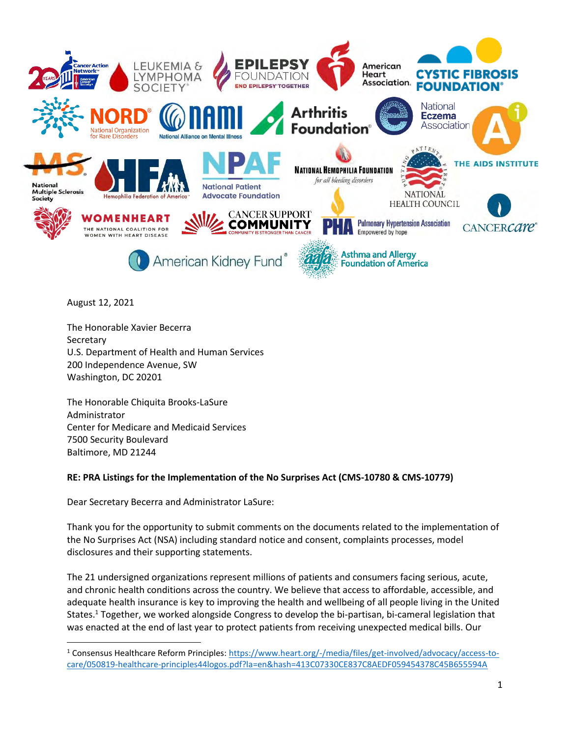

August 12, 2021

The Honorable Xavier Becerra **Secretary** U.S. Department of Health and Human Services 200 Independence Avenue, SW Washington, DC 20201

The Honorable Chiquita Brooks-LaSure Administrator Center for Medicare and Medicaid Services 7500 Security Boulevard Baltimore, MD 21244

### **RE: PRA Listings for the Implementation of the No Surprises Act (CMS-10780 & CMS-10779)**

Dear Secretary Becerra and Administrator LaSure:

Thank you for the opportunity to submit comments on the documents related to the implementation of the No Surprises Act (NSA) including standard notice and consent, complaints processes, model disclosures and their supporting statements.

The 21 undersigned organizations represent millions of patients and consumers facing serious, acute, and chronic health conditions across the country. We believe that access to affordable, accessible, and adequate health insurance is key to improving the health and wellbeing of all people living in the United States.<sup>1</sup> Together, we worked alongside Congress to develop the bi-partisan, bi-cameral legislation that was enacted at the end of last year to protect patients from receiving unexpected medical bills. Our

<sup>1</sup> Consensus Healthcare Reform Principles: [https://www.heart.org/-/media/files/get-involved/advocacy/access-to](https://www.heart.org/-/media/files/get-involved/advocacy/access-to-care/050819-healthcare-principles44logos.pdf?la=en&hash=413C07330CE837C8AEDF059454378C45B655594A)[care/050819-healthcare-principles44logos.pdf?la=en&hash=413C07330CE837C8AEDF059454378C45B655594A](https://www.heart.org/-/media/files/get-involved/advocacy/access-to-care/050819-healthcare-principles44logos.pdf?la=en&hash=413C07330CE837C8AEDF059454378C45B655594A)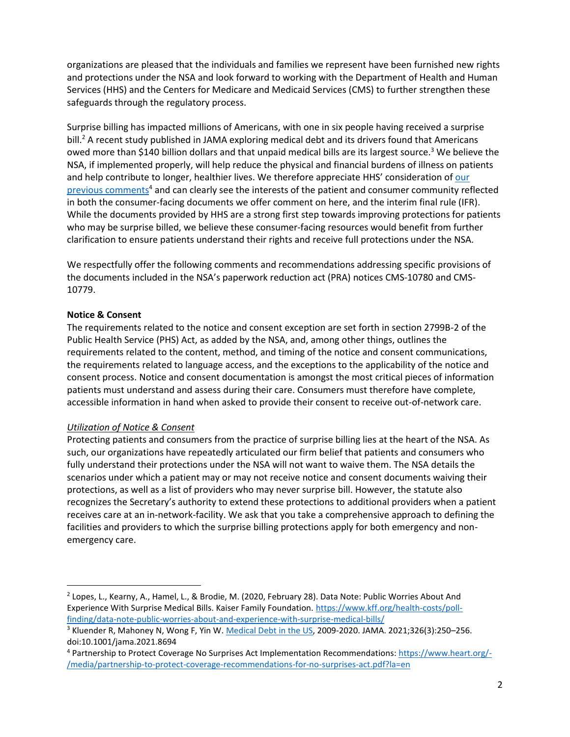organizations are pleased that the individuals and families we represent have been furnished new rights and protections under the NSA and look forward to working with the Department of Health and Human Services (HHS) and the Centers for Medicare and Medicaid Services (CMS) to further strengthen these safeguards through the regulatory process.

Surprise billing has impacted millions of Americans, with one in six people having received a surprise bill.<sup>2</sup> A recent study published in JAMA exploring medical debt and its drivers found that Americans owed more than \$140 billion dollars and that unpaid medical bills are its largest source.<sup>3</sup> We believe the NSA, if implemented properly, will help reduce the physical and financial burdens of illness on patients and help contribute to longer, healthier lives. We therefore appreciate HHS' consideration of our [previous comments](https://www.heart.org/-/media/partnership-to-protect-coverage-recommendations-for-no-surprises-act.pdf?la=en)<sup>4</sup> and can clearly see the interests of the patient and consumer community reflected in both the consumer-facing documents we offer comment on here, and the interim final rule (IFR). While the documents provided by HHS are a strong first step towards improving protections for patients who may be surprise billed, we believe these consumer-facing resources would benefit from further clarification to ensure patients understand their rights and receive full protections under the NSA.

We respectfully offer the following comments and recommendations addressing specific provisions of the documents included in the NSA's paperwork reduction act (PRA) notices CMS-10780 and CMS-10779.

### **Notice & Consent**

The requirements related to the notice and consent exception are set forth in section 2799B-2 of the Public Health Service (PHS) Act, as added by the NSA, and, among other things, outlines the requirements related to the content, method, and timing of the notice and consent communications, the requirements related to language access, and the exceptions to the applicability of the notice and consent process. Notice and consent documentation is amongst the most critical pieces of information patients must understand and assess during their care. Consumers must therefore have complete, accessible information in hand when asked to provide their consent to receive out-of-network care.

# <span id="page-1-0"></span>*Utilization of Notice & Consent*

Protecting patients and consumers from the practice of surprise billing lies at the heart of the NSA. As such, our organizations have repeatedly articulated our firm belief that patients and consumers who fully understand their protections under the NSA will not want to waive them. The NSA details the scenarios under which a patient may or may not receive notice and consent documents waiving their protections, as well as a list of providers who may never surprise bill. However, the statute also recognizes the Secretary's authority to extend these protections to additional providers when a patient receives care at an in-network-facility. We ask that you take a comprehensive approach to defining the facilities and providers to which the surprise billing protections apply for both emergency and nonemergency care.

<sup>2</sup> Lopes, L., Kearny, A., Hamel, L., & Brodie, M. (2020, February 28). Data Note: Public Worries About And Experience With Surprise Medical Bills. Kaiser Family Foundation. [https://www.kff.org/health-costs/poll](https://www.kff.org/health-costs/poll-finding/data-note-public-worries-about-and-experience-with-surprise-medical-bills/)[finding/data-note-public-worries-about-and-experience-with-surprise-medical-bills/](https://www.kff.org/health-costs/poll-finding/data-note-public-worries-about-and-experience-with-surprise-medical-bills/)

<sup>&</sup>lt;sup>3</sup> Kluender R, Mahoney N, Wong F, Yin W. [Medical Debt in the US,](https://jamanetwork.com/journals/jama/article-abstract/2782187?utm_source=newsletter&utm_medium=email&utm_campaign=newsletter_axiosvitals&stream=top) 2009-2020. JAMA. 2021;326(3):250-256. doi:10.1001/jama.2021.8694

<sup>4</sup> Partnership to Protect Coverage No Surprises Act Implementation Recommendations[: https://www.heart.org/-](https://www.heart.org/-/media/partnership-to-protect-coverage-recommendations-for-no-surprises-act.pdf?la=en) [/media/partnership-to-protect-coverage-recommendations-for-no-surprises-act.pdf?la=en](https://www.heart.org/-/media/partnership-to-protect-coverage-recommendations-for-no-surprises-act.pdf?la=en)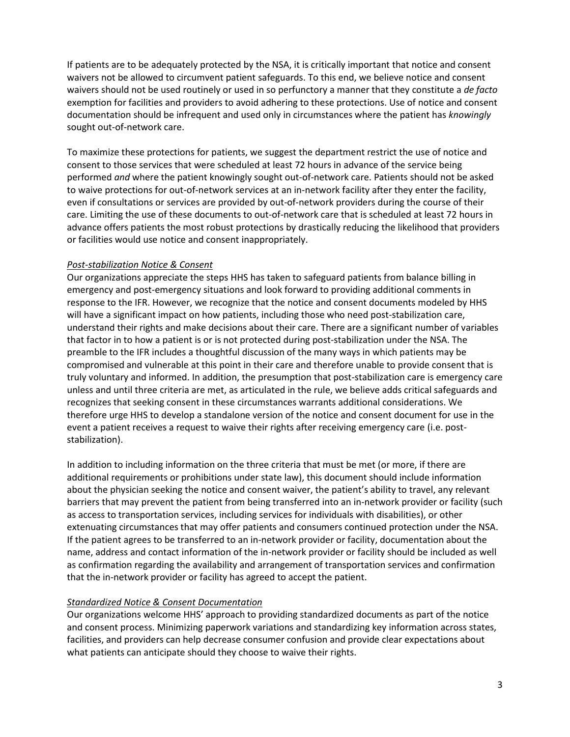If patients are to be adequately protected by the NSA, it is critically important that notice and consent waivers not be allowed to circumvent patient safeguards. To this end, we believe notice and consent waivers should not be used routinely or used in so perfunctory a manner that they constitute a *de facto* exemption for facilities and providers to avoid adhering to these protections. Use of notice and consent documentation should be infrequent and used only in circumstances where the patient has *knowingly* sought out-of-network care.

To maximize these protections for patients, we suggest the department restrict the use of notice and consent to those services that were scheduled at least 72 hours in advance of the service being performed *and* where the patient knowingly sought out-of-network care. Patients should not be asked to waive protections for out-of-network services at an in-network facility after they enter the facility, even if consultations or services are provided by out-of-network providers during the course of their care. Limiting the use of these documents to out-of-network care that is scheduled at least 72 hours in advance offers patients the most robust protections by drastically reducing the likelihood that providers or facilities would use notice and consent inappropriately.

#### *Post-stabilization Notice & Consent*

Our organizations appreciate the steps HHS has taken to safeguard patients from balance billing in emergency and post-emergency situations and look forward to providing additional comments in response to the IFR. However, we recognize that the notice and consent documents modeled by HHS will have a significant impact on how patients, including those who need post-stabilization care, understand their rights and make decisions about their care. There are a significant number of variables that factor in to how a patient is or is not protected during post-stabilization under the NSA. The preamble to the IFR includes a thoughtful discussion of the many ways in which patients may be compromised and vulnerable at this point in their care and therefore unable to provide consent that is truly voluntary and informed. In addition, the presumption that post-stabilization care is emergency care unless and until three criteria are met, as articulated in the rule, we believe adds critical safeguards and recognizes that seeking consent in these circumstances warrants additional considerations. We therefore urge HHS to develop a standalone version of the notice and consent document for use in the event a patient receives a request to waive their rights after receiving emergency care (i.e. poststabilization).

In addition to including information on the three criteria that must be met (or more, if there are additional requirements or prohibitions under state law), this document should include information about the physician seeking the notice and consent waiver, the patient's ability to travel, any relevant barriers that may prevent the patient from being transferred into an in-network provider or facility (such as access to transportation services, including services for individuals with disabilities), or other extenuating circumstances that may offer patients and consumers continued protection under the NSA. If the patient agrees to be transferred to an in-network provider or facility, documentation about the name, address and contact information of the in-network provider or facility should be included as well as confirmation regarding the availability and arrangement of transportation services and confirmation that the in-network provider or facility has agreed to accept the patient.

### *Standardized Notice & Consent Documentation*

Our organizations welcome HHS' approach to providing standardized documents as part of the notice and consent process. Minimizing paperwork variations and standardizing key information across states, facilities, and providers can help decrease consumer confusion and provide clear expectations about what patients can anticipate should they choose to waive their rights.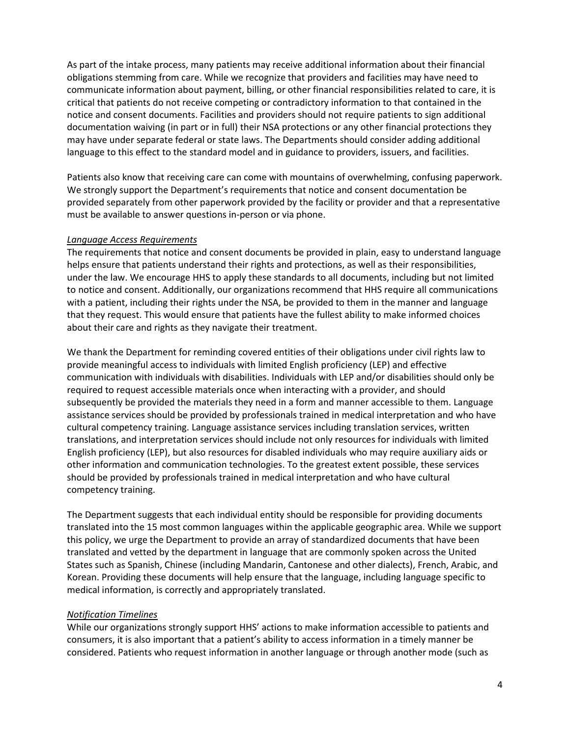As part of the intake process, many patients may receive additional information about their financial obligations stemming from care. While we recognize that providers and facilities may have need to communicate information about payment, billing, or other financial responsibilities related to care, it is critical that patients do not receive competing or contradictory information to that contained in the notice and consent documents. Facilities and providers should not require patients to sign additional documentation waiving (in part or in full) their NSA protections or any other financial protections they may have under separate federal or state laws. The Departments should consider adding additional language to this effect to the standard model and in guidance to providers, issuers, and facilities.

Patients also know that receiving care can come with mountains of overwhelming, confusing paperwork. We strongly support the Department's requirements that notice and consent documentation be provided separately from other paperwork provided by the facility or provider and that a representative must be available to answer questions in-person or via phone.

### *Language Access Requirements*

The requirements that notice and consent documents be provided in plain, easy to understand language helps ensure that patients understand their rights and protections, as well as their responsibilities, under the law. We encourage HHS to apply these standards to all documents, including but not limited to notice and consent. Additionally, our organizations recommend that HHS require all communications with a patient, including their rights under the NSA, be provided to them in the manner and language that they request. This would ensure that patients have the fullest ability to make informed choices about their care and rights as they navigate their treatment.

We thank the Department for reminding covered entities of their obligations under civil rights law to provide meaningful access to individuals with limited English proficiency (LEP) and effective communication with individuals with disabilities. Individuals with LEP and/or disabilities should only be required to request accessible materials once when interacting with a provider, and should subsequently be provided the materials they need in a form and manner accessible to them. Language assistance services should be provided by professionals trained in medical interpretation and who have cultural competency training. Language assistance services including translation services, written translations, and interpretation services should include not only resources for individuals with limited English proficiency (LEP), but also resources for disabled individuals who may require auxiliary aids or other information and communication technologies. To the greatest extent possible, these services should be provided by professionals trained in medical interpretation and who have cultural competency training.

The Department suggests that each individual entity should be responsible for providing documents translated into the 15 most common languages within the applicable geographic area. While we support this policy, we urge the Department to provide an array of standardized documents that have been translated and vetted by the department in language that are commonly spoken across the United States such as Spanish, Chinese (including Mandarin, Cantonese and other dialects), French, Arabic, and Korean. Providing these documents will help ensure that the language, including language specific to medical information, is correctly and appropriately translated.

### *Notification Timelines*

While our organizations strongly support HHS' actions to make information accessible to patients and consumers, it is also important that a patient's ability to access information in a timely manner be considered. Patients who request information in another language or through another mode (such as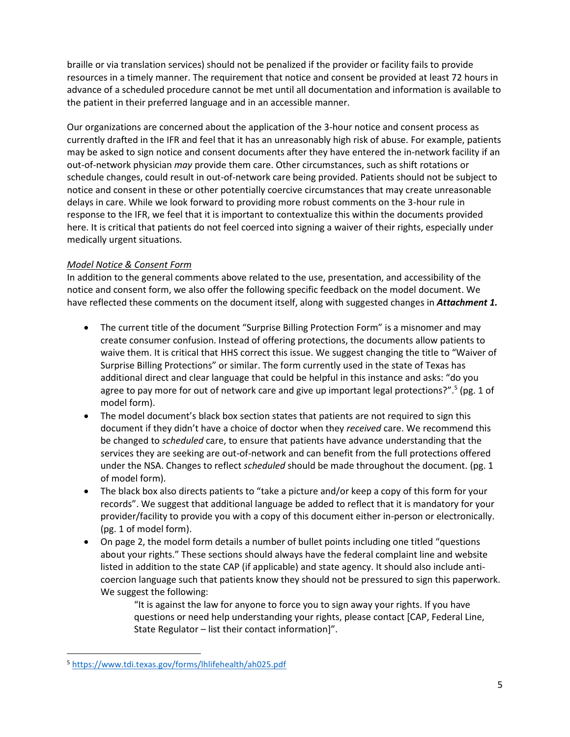braille or via translation services) should not be penalized if the provider or facility fails to provide resources in a timely manner. The requirement that notice and consent be provided at least 72 hours in advance of a scheduled procedure cannot be met until all documentation and information is available to the patient in their preferred language and in an accessible manner.

Our organizations are concerned about the application of the 3-hour notice and consent process as currently drafted in the IFR and feel that it has an unreasonably high risk of abuse. For example, patients may be asked to sign notice and consent documents after they have entered the in-network facility if an out-of-network physician *may* provide them care. Other circumstances, such as shift rotations or schedule changes, could result in out-of-network care being provided. Patients should not be subject to notice and consent in these or other potentially coercive circumstances that may create unreasonable delays in care. While we look forward to providing more robust comments on the 3-hour rule in response to the IFR, we feel that it is important to contextualize this within the documents provided here. It is critical that patients do not feel coerced into signing a waiver of their rights, especially under medically urgent situations.

### *Model Notice & Consent Form*

In addition to the general comments above related to the use, presentation, and accessibility of the notice and consent form, we also offer the following specific feedback on the model document. We have reflected these comments on the document itself, along with suggested changes in *Attachment 1.*

- The current title of the document "Surprise Billing Protection Form" is a misnomer and may create consumer confusion. Instead of offering protections, the documents allow patients to waive them. It is critical that HHS correct this issue. We suggest changing the title to "Waiver of Surprise Billing Protections" or similar. The form currently used in the state of Texas has additional direct and clear language that could be helpful in this instance and asks: "do you agree to pay more for out of network care and give up important legal protections?".<sup>5</sup> (pg. 1 of model form).
- The model document's black box section states that patients are not required to sign this document if they didn't have a choice of doctor when they *received* care. We recommend this be changed to *scheduled* care, to ensure that patients have advance understanding that the services they are seeking are out-of-network and can benefit from the full protections offered under the NSA. Changes to reflect *scheduled* should be made throughout the document. (pg. 1 of model form).
- The black box also directs patients to "take a picture and/or keep a copy of this form for your records". We suggest that additional language be added to reflect that it is mandatory for your provider/facility to provide you with a copy of this document either in-person or electronically. (pg. 1 of model form).
- On page 2, the model form details a number of bullet points including one titled "questions about your rights." These sections should always have the federal complaint line and website listed in addition to the state CAP (if applicable) and state agency. It should also include anticoercion language such that patients know they should not be pressured to sign this paperwork. We suggest the following:

"It is against the law for anyone to force you to sign away your rights. If you have questions or need help understanding your rights, please contact [CAP, Federal Line, State Regulator – list their contact information]".

<sup>5</sup> <https://www.tdi.texas.gov/forms/lhlifehealth/ah025.pdf>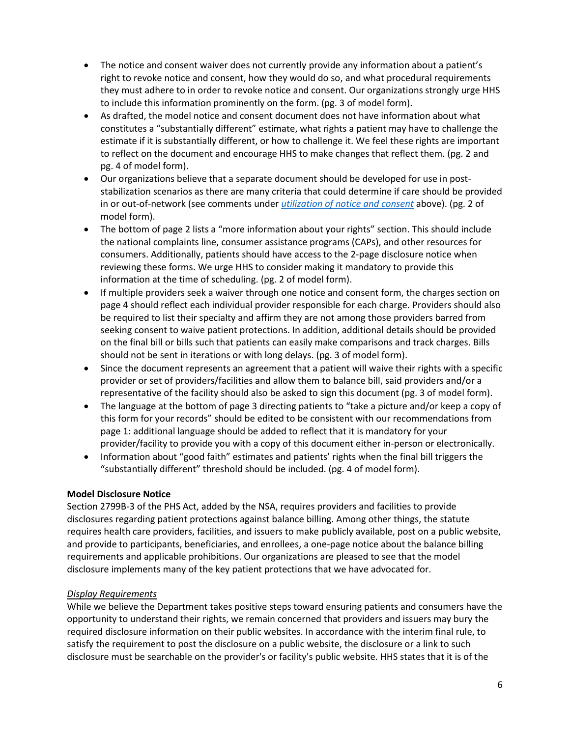- The notice and consent waiver does not currently provide any information about a patient's right to revoke notice and consent, how they would do so, and what procedural requirements they must adhere to in order to revoke notice and consent. Our organizations strongly urge HHS to include this information prominently on the form. (pg. 3 of model form).
- As drafted, the model notice and consent document does not have information about what constitutes a "substantially different" estimate, what rights a patient may have to challenge the estimate if it is substantially different, or how to challenge it. We feel these rights are important to reflect on the document and encourage HHS to make changes that reflect them. (pg. 2 and pg. 4 of model form).
- Our organizations believe that a separate document should be developed for use in poststabilization scenarios as there are many criteria that could determine if care should be provided in or out-of-network (see comments under *[utilization of notice and consent](#page-1-0)* above). (pg. 2 of model form).
- The bottom of page 2 lists a "more information about your rights" section. This should include the national complaints line, consumer assistance programs (CAPs), and other resources for consumers. Additionally, patients should have access to the 2-page disclosure notice when reviewing these forms. We urge HHS to consider making it mandatory to provide this information at the time of scheduling. (pg. 2 of model form).
- If multiple providers seek a waiver through one notice and consent form, the charges section on page 4 should reflect each individual provider responsible for each charge. Providers should also be required to list their specialty and affirm they are not among those providers barred from seeking consent to waive patient protections. In addition, additional details should be provided on the final bill or bills such that patients can easily make comparisons and track charges. Bills should not be sent in iterations or with long delays. (pg. 3 of model form).
- Since the document represents an agreement that a patient will waive their rights with a specific provider or set of providers/facilities and allow them to balance bill, said providers and/or a representative of the facility should also be asked to sign this document (pg. 3 of model form).
- The language at the bottom of page 3 directing patients to "take a picture and/or keep a copy of this form for your records" should be edited to be consistent with our recommendations from page 1: additional language should be added to reflect that it is mandatory for your provider/facility to provide you with a copy of this document either in-person or electronically.
- Information about "good faith" estimates and patients' rights when the final bill triggers the "substantially different" threshold should be included. (pg. 4 of model form).

# **Model Disclosure Notice**

Section 2799B-3 of the PHS Act, added by the NSA, requires providers and facilities to provide disclosures regarding patient protections against balance billing. Among other things, the statute requires health care providers, facilities, and issuers to make publicly available, post on a public website, and provide to participants, beneficiaries, and enrollees, a one-page notice about the balance billing requirements and applicable prohibitions. Our organizations are pleased to see that the model disclosure implements many of the key patient protections that we have advocated for.

# *Display Requirements*

While we believe the Department takes positive steps toward ensuring patients and consumers have the opportunity to understand their rights, we remain concerned that providers and issuers may bury the required disclosure information on their public websites. In accordance with the interim final rule, to satisfy the requirement to post the disclosure on a public website, the disclosure or a link to such disclosure must be searchable on the provider's or facility's public website. HHS states that it is of the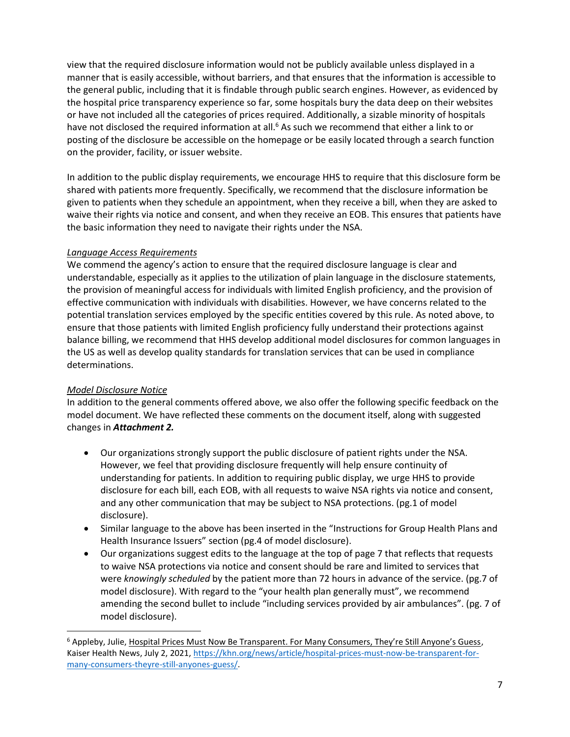view that the required disclosure information would not be publicly available unless displayed in a manner that is easily accessible, without barriers, and that ensures that the information is accessible to the general public, including that it is findable through public search engines. However, as evidenced by the hospital price transparency experience so far, some hospitals bury the data deep on their websites or have not included all the categories of prices required. Additionally, a sizable minority of hospitals have not disclosed the required information at all.<sup>6</sup> As such we recommend that either a link to or posting of the disclosure be accessible on the homepage or be easily located through a search function on the provider, facility, or issuer website.

In addition to the public display requirements, we encourage HHS to require that this disclosure form be shared with patients more frequently. Specifically, we recommend that the disclosure information be given to patients when they schedule an appointment, when they receive a bill, when they are asked to waive their rights via notice and consent, and when they receive an EOB. This ensures that patients have the basic information they need to navigate their rights under the NSA.

# *Language Access Requirements*

We commend the agency's action to ensure that the required disclosure language is clear and understandable, especially as it applies to the utilization of plain language in the disclosure statements, the provision of meaningful access for individuals with limited English proficiency, and the provision of effective communication with individuals with disabilities. However, we have concerns related to the potential translation services employed by the specific entities covered by this rule. As noted above, to ensure that those patients with limited English proficiency fully understand their protections against balance billing, we recommend that HHS develop additional model disclosures for common languages in the US as well as develop quality standards for translation services that can be used in compliance determinations.

# *Model Disclosure Notice*

In addition to the general comments offered above, we also offer the following specific feedback on the model document. We have reflected these comments on the document itself, along with suggested changes in *Attachment 2.*

- Our organizations strongly support the public disclosure of patient rights under the NSA. However, we feel that providing disclosure frequently will help ensure continuity of understanding for patients. In addition to requiring public display, we urge HHS to provide disclosure for each bill, each EOB, with all requests to waive NSA rights via notice and consent, and any other communication that may be subject to NSA protections. (pg.1 of model disclosure).
- Similar language to the above has been inserted in the "Instructions for Group Health Plans and Health Insurance Issuers" section (pg.4 of model disclosure).
- Our organizations suggest edits to the language at the top of page 7 that reflects that requests to waive NSA protections via notice and consent should be rare and limited to services that were *knowingly scheduled* by the patient more than 72 hours in advance of the service. (pg.7 of model disclosure). With regard to the "your health plan generally must", we recommend amending the second bullet to include "including services provided by air ambulances". (pg. 7 of model disclosure).

<sup>&</sup>lt;sup>6</sup> Appleby, Julie, Hospital Prices Must Now Be Transparent. For Many Consumers, They're Still Anyone's Guess, Kaiser Health News, July 2, 2021[, https://khn.org/news/article/hospital-prices-must-now-be-transparent-for](https://khn.org/news/article/hospital-prices-must-now-be-transparent-for-many-consumers-theyre-still-anyones-guess/)[many-consumers-theyre-still-anyones-guess/.](https://khn.org/news/article/hospital-prices-must-now-be-transparent-for-many-consumers-theyre-still-anyones-guess/)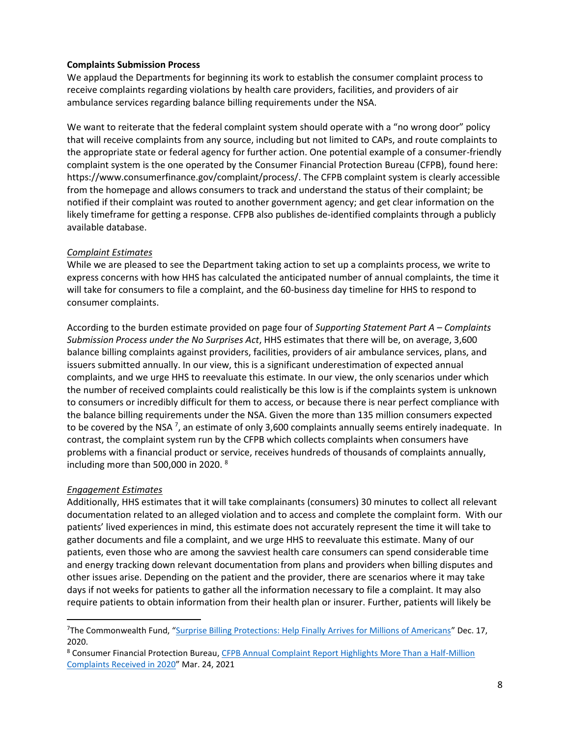### **Complaints Submission Process**

We applaud the Departments for beginning its work to establish the consumer complaint process to receive complaints regarding violations by health care providers, facilities, and providers of air ambulance services regarding balance billing requirements under the NSA.

We want to reiterate that the federal complaint system should operate with a "no wrong door" policy that will receive complaints from any source, including but not limited to CAPs, and route complaints to the appropriate state or federal agency for further action. One potential example of a consumer-friendly complaint system is the one operated by the Consumer Financial Protection Bureau (CFPB), found here: https://www.consumerfinance.gov/complaint/process/. The CFPB complaint system is clearly accessible from the homepage and allows consumers to track and understand the status of their complaint; be notified if their complaint was routed to another government agency; and get clear information on the likely timeframe for getting a response. CFPB also publishes de-identified complaints through a publicly available database.

### *Complaint Estimates*

While we are pleased to see the Department taking action to set up a complaints process, we write to express concerns with how HHS has calculated the anticipated number of annual complaints, the time it will take for consumers to file a complaint, and the 60-business day timeline for HHS to respond to consumer complaints.

According to the burden estimate provided on page four of *Supporting Statement Part A – Complaints Submission Process under the No Surprises Act*, HHS estimates that there will be, on average, 3,600 balance billing complaints against providers, facilities, providers of air ambulance services, plans, and issuers submitted annually. In our view, this is a significant underestimation of expected annual complaints, and we urge HHS to reevaluate this estimate. In our view, the only scenarios under which the number of received complaints could realistically be this low is if the complaints system is unknown to consumers or incredibly difficult for them to access, or because there is near perfect compliance with the balance billing requirements under the NSA. Given the more than 135 million consumers expected to be covered by the NSA  $^7$ , an estimate of only 3,600 complaints annually seems entirely inadequate. In contrast, the complaint system run by the CFPB which collects complaints when consumers have problems with a financial product or service, receives hundreds of thousands of complaints annually, including more than 500,000 in 2020. <sup>8</sup>

### *Engagement Estimates*

Additionally, HHS estimates that it will take complainants (consumers) 30 minutes to collect all relevant documentation related to an alleged violation and to access and complete the complaint form. With our patients' lived experiences in mind, this estimate does not accurately represent the time it will take to gather documents and file a complaint, and we urge HHS to reevaluate this estimate. Many of our patients, even those who are among the savviest health care consumers can spend considerable time and energy tracking down relevant documentation from plans and providers when billing disputes and other issues arise. Depending on the patient and the provider, there are scenarios where it may take days if not weeks for patients to gather all the information necessary to file a complaint. It may also require patients to obtain information from their health plan or insurer. Further, patients will likely be

<sup>&</sup>lt;sup>7</sup>The Commonwealth Fund, "[Surprise Billing Protections: Help Finally Arrives for Millions of Americans](https://www.commonwealthfund.org/blog/2020/surprise-billing-protections-cusp-becoming-law)" Dec. 17, 2020.

<sup>&</sup>lt;sup>8</sup> Consumer Financial Protection Bureau, CFPB Annual Complaint Report Highlights More Than a Half-Million [Complaints Received in 2020](https://www.consumerfinance.gov/about-us/newsroom/cfpb-annual-complaint-report-highlights-more-than-a-half-million-complaints-received-in-2020/)" Mar. 24, 2021